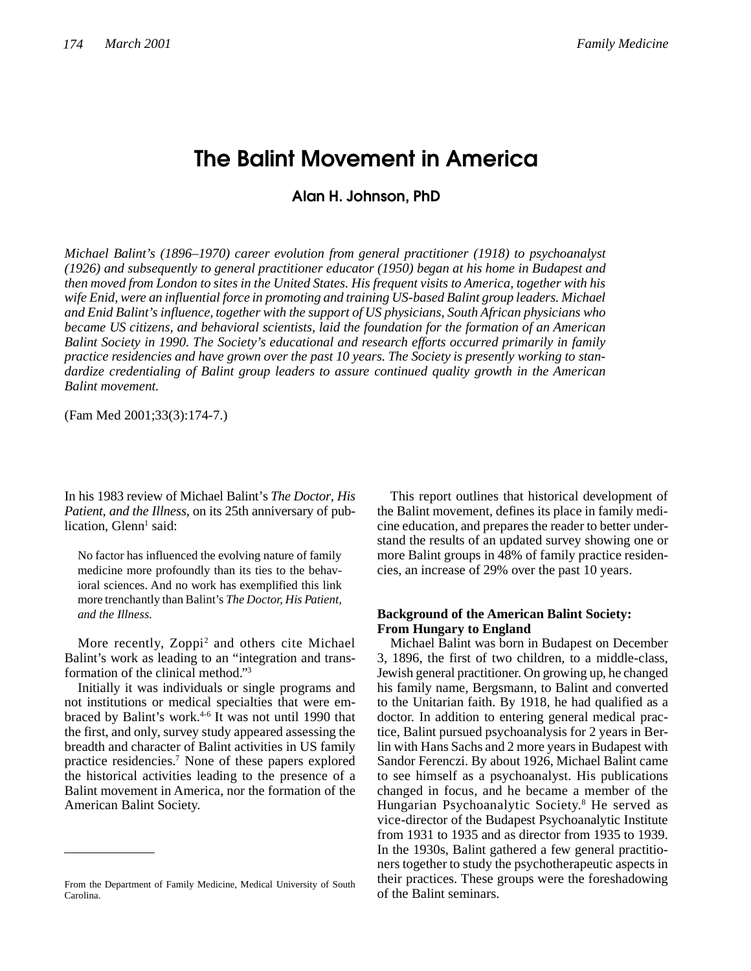# **The Balint Movement in America**

**Alan H. Johnson, PhD**

*Michael Balint's (1896–1970) career evolution from general practitioner (1918) to psychoanalyst (1926) and subsequently to general practitioner educator (1950) began at his home in Budapest and then moved from London to sites in the United States. His frequent visits to America, together with his wife Enid, were an influential force in promoting and training US-based Balint group leaders. Michael and Enid Balint's influence, together with the support of US physicians, South African physicians who became US citizens, and behavioral scientists, laid the foundation for the formation of an American Balint Society in 1990. The Society's educational and research efforts occurred primarily in family practice residencies and have grown over the past 10 years. The Society is presently working to standardize credentialing of Balint group leaders to assure continued quality growth in the American Balint movement.*

(Fam Med 2001;33(3):174-7.)

In his 1983 review of Michael Balint's *The Doctor, His Patient, and the Illness,* on its 25th anniversary of publication, Glenn<sup>1</sup> said:

No factor has influenced the evolving nature of family medicine more profoundly than its ties to the behavioral sciences. And no work has exemplified this link more trenchantly than Balint's *The Doctor, His Patient, and the Illness.*

More recently, Zoppi<sup>2</sup> and others cite Michael Balint's work as leading to an "integration and transformation of the clinical method."<sup>3</sup>

Initially it was individuals or single programs and not institutions or medical specialties that were embraced by Balint's work.<sup>4-6</sup> It was not until 1990 that the first, and only, survey study appeared assessing the breadth and character of Balint activities in US family practice residencies.<sup>7</sup> None of these papers explored the historical activities leading to the presence of a Balint movement in America, nor the formation of the American Balint Society.

This report outlines that historical development of the Balint movement, defines its place in family medicine education, and prepares the reader to better understand the results of an updated survey showing one or more Balint groups in 48% of family practice residencies, an increase of 29% over the past 10 years.

# **Background of the American Balint Society: From Hungary to England**

Michael Balint was born in Budapest on December 3, 1896, the first of two children, to a middle-class, Jewish general practitioner. On growing up, he changed his family name, Bergsmann, to Balint and converted to the Unitarian faith. By 1918, he had qualified as a doctor. In addition to entering general medical practice, Balint pursued psychoanalysis for 2 years in Berlin with Hans Sachs and 2 more years in Budapest with Sandor Ferenczi. By about 1926, Michael Balint came to see himself as a psychoanalyst. His publications changed in focus, and he became a member of the Hungarian Psychoanalytic Society.<sup>8</sup> He served as vice-director of the Budapest Psychoanalytic Institute from 1931 to 1935 and as director from 1935 to 1939. In the 1930s, Balint gathered a few general practitioners together to study the psychotherapeutic aspects in their practices. These groups were the foreshadowing of the Balint seminars.

From the Department of Family Medicine, Medical University of South Carolina.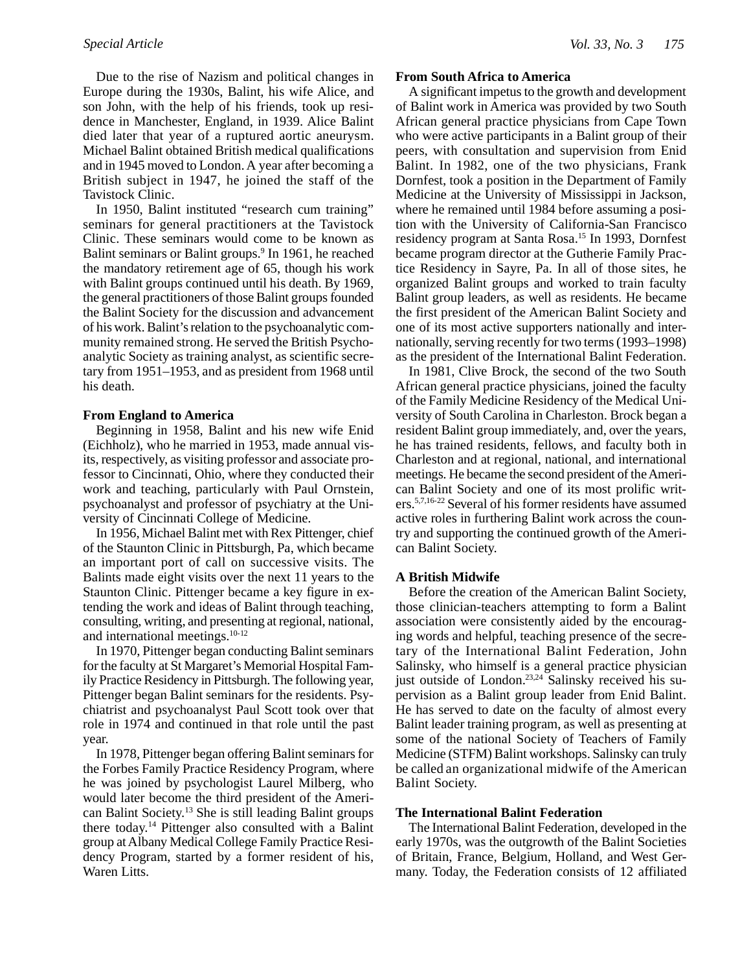Due to the rise of Nazism and political changes in Europe during the 1930s, Balint, his wife Alice, and son John, with the help of his friends, took up residence in Manchester, England, in 1939. Alice Balint died later that year of a ruptured aortic aneurysm. Michael Balint obtained British medical qualifications and in 1945 moved to London. A year after becoming a British subject in 1947, he joined the staff of the Tavistock Clinic.

In 1950, Balint instituted "research cum training" seminars for general practitioners at the Tavistock Clinic. These seminars would come to be known as Balint seminars or Balint groups.<sup>9</sup> In 1961, he reached the mandatory retirement age of 65, though his work with Balint groups continued until his death. By 1969, the general practitioners of those Balint groups founded the Balint Society for the discussion and advancement of his work. Balint's relation to the psychoanalytic community remained strong. He served the British Psychoanalytic Society as training analyst, as scientific secretary from 1951–1953, and as president from 1968 until his death.

# **From England to America**

Beginning in 1958, Balint and his new wife Enid (Eichholz), who he married in 1953, made annual visits, respectively, as visiting professor and associate professor to Cincinnati, Ohio, where they conducted their work and teaching, particularly with Paul Ornstein, psychoanalyst and professor of psychiatry at the University of Cincinnati College of Medicine.

In 1956, Michael Balint met with Rex Pittenger, chief of the Staunton Clinic in Pittsburgh, Pa, which became an important port of call on successive visits. The Balints made eight visits over the next 11 years to the Staunton Clinic. Pittenger became a key figure in extending the work and ideas of Balint through teaching, consulting, writing, and presenting at regional, national, and international meetings.10-12

In 1970, Pittenger began conducting Balint seminars for the faculty at St Margaret's Memorial Hospital Family Practice Residency in Pittsburgh. The following year, Pittenger began Balint seminars for the residents. Psychiatrist and psychoanalyst Paul Scott took over that role in 1974 and continued in that role until the past year.

In 1978, Pittenger began offering Balint seminars for the Forbes Family Practice Residency Program, where he was joined by psychologist Laurel Milberg, who would later become the third president of the American Balint Society.<sup>13</sup> She is still leading Balint groups there today.<sup>14</sup> Pittenger also consulted with a Balint group at Albany Medical College Family Practice Residency Program, started by a former resident of his, Waren Litts.

# **From South Africa to America**

A significant impetus to the growth and development of Balint work in America was provided by two South African general practice physicians from Cape Town who were active participants in a Balint group of their peers, with consultation and supervision from Enid Balint. In 1982, one of the two physicians, Frank Dornfest, took a position in the Department of Family Medicine at the University of Mississippi in Jackson, where he remained until 1984 before assuming a position with the University of California-San Francisco residency program at Santa Rosa.<sup>15</sup> In 1993, Dornfest became program director at the Gutherie Family Practice Residency in Sayre, Pa. In all of those sites, he organized Balint groups and worked to train faculty Balint group leaders, as well as residents. He became the first president of the American Balint Society and one of its most active supporters nationally and internationally, serving recently for two terms (1993–1998) as the president of the International Balint Federation.

In 1981, Clive Brock, the second of the two South African general practice physicians, joined the faculty of the Family Medicine Residency of the Medical University of South Carolina in Charleston. Brock began a resident Balint group immediately, and, over the years, he has trained residents, fellows, and faculty both in Charleston and at regional, national, and international meetings. He became the second president of the American Balint Society and one of its most prolific writers.5,7,16-22 Several of his former residents have assumed active roles in furthering Balint work across the country and supporting the continued growth of the American Balint Society.

# **A British Midwife**

Before the creation of the American Balint Society, those clinician-teachers attempting to form a Balint association were consistently aided by the encouraging words and helpful, teaching presence of the secretary of the International Balint Federation, John Salinsky, who himself is a general practice physician just outside of London.<sup>23,24</sup> Salinsky received his supervision as a Balint group leader from Enid Balint. He has served to date on the faculty of almost every Balint leader training program, as well as presenting at some of the national Society of Teachers of Family Medicine (STFM) Balint workshops. Salinsky can truly be called an organizational midwife of the American Balint Society.

### **The International Balint Federation**

The International Balint Federation, developed in the early 1970s, was the outgrowth of the Balint Societies of Britain, France, Belgium, Holland, and West Germany. Today, the Federation consists of 12 affiliated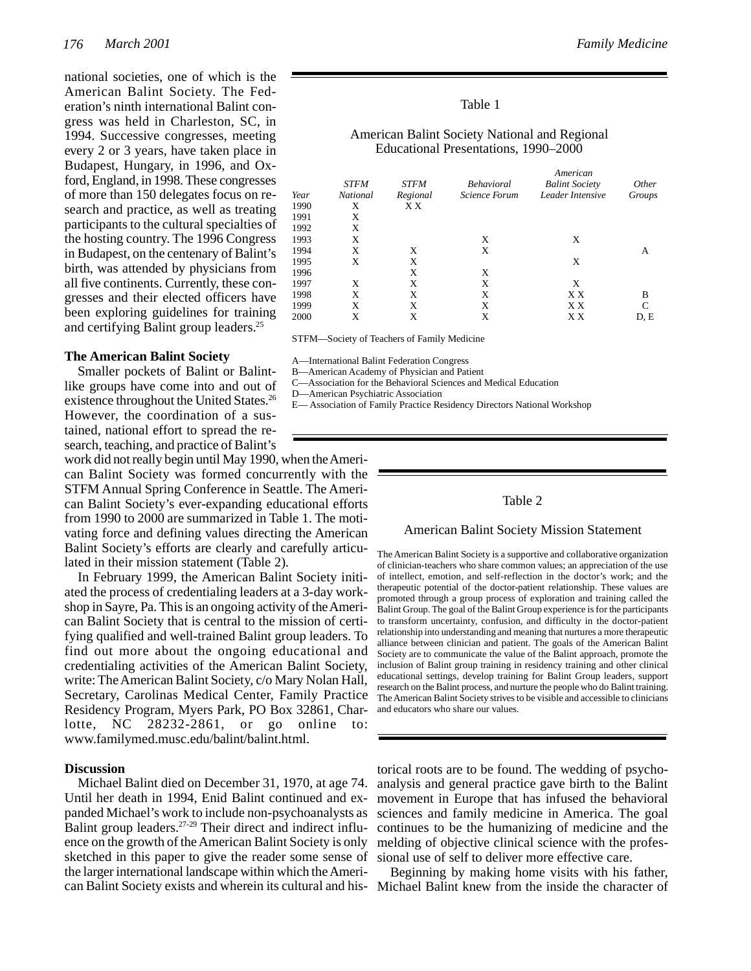national societies, one of which is the American Balint Society. The Federation's ninth international Balint congress was held in Charleston, SC, in 1994. Successive congresses, meeting every 2 or 3 years, have taken place in Budapest, Hungary, in 1996, and Oxford, England, in 1998. These congresses of more than 150 delegates focus on research and practice, as well as treating participants to the cultural specialties of the hosting country. The 1996 Congress in Budapest, on the centenary of Balint's birth, was attended by physicians from all five continents. Currently, these congresses and their elected officers have been exploring guidelines for training and certifying Balint group leaders.<sup>25</sup>

# **The American Balint Society**

Smaller pockets of Balint or Balintlike groups have come into and out of existence throughout the United States.<sup>26</sup> However, the coordination of a sustained, national effort to spread the research, teaching, and practice of Balint's

work did not really begin until May 1990, when the American Balint Society was formed concurrently with the STFM Annual Spring Conference in Seattle. The American Balint Society's ever-expanding educational efforts from 1990 to 2000 are summarized in Table 1. The motivating force and defining values directing the American Balint Society's efforts are clearly and carefully articulated in their mission statement (Table 2).

In February 1999, the American Balint Society initiated the process of credentialing leaders at a 3-day workshop in Sayre, Pa. This is an ongoing activity of the American Balint Society that is central to the mission of certifying qualified and well-trained Balint group leaders. To find out more about the ongoing educational and credentialing activities of the American Balint Society, write: The American Balint Society, c/o Mary Nolan Hall, Secretary, Carolinas Medical Center, Family Practice Residency Program, Myers Park, PO Box 32861, Charlotte, NC 28232-2861, or go online to: www.familymed.musc.edu/balint/balint.html.

### **Discussion**

can Balint Society exists and wherein its cultural and his- Michael Balint knew from the inside the character of Michael Balint died on December 31, 1970, at age 74. Until her death in 1994, Enid Balint continued and expanded Michael's work to include non-psychoanalysts as Balint group leaders.27-29 Their direct and indirect influence on the growth of the American Balint Society is only sketched in this paper to give the reader some sense of the larger international landscape within which the Ameri-

### Table 1

# American Balint Society National and Regional Educational Presentations, 1990–2000

|      |                 |             | American          |                       |              |
|------|-----------------|-------------|-------------------|-----------------------|--------------|
|      | <b>STFM</b>     | <b>STFM</b> | <b>Behavioral</b> | <b>Balint Society</b> | Other        |
| Year | <b>National</b> | Regional    | Science Forum     | Leader Intensive      | Groups       |
| 1990 | X               | ХX          |                   |                       |              |
| 1991 | Χ               |             |                   |                       |              |
| 1992 | X               |             |                   |                       |              |
| 1993 | X               |             | X                 | X                     |              |
| 1994 | X               | X           | X                 |                       | A            |
| 1995 | X               | X           |                   | X                     |              |
| 1996 |                 | X           | X                 |                       |              |
| 1997 | Χ               | X           | X                 | X                     |              |
| 1998 | X               | X           | X                 | X X                   | B            |
| 1999 | X               | X           | X                 | X X                   | $\mathsf{C}$ |
| 2000 | X               | X           | X                 | ХX                    | D, E         |
|      |                 |             |                   |                       |              |

STFM—Society of Teachers of Family Medicine

A—International Balint Federation Congress

B—American Academy of Physician and Patient

C—Association for the Behavioral Sciences and Medical Education

D—American Psychiatric Association

E— Association of Family Practice Residency Directors National Workshop

# Table 2

#### American Balint Society Mission Statement

The American Balint Society is a supportive and collaborative organization of clinician-teachers who share common values; an appreciation of the use of intellect, emotion, and self-reflection in the doctor's work; and the therapeutic potential of the doctor-patient relationship. These values are promoted through a group process of exploration and training called the Balint Group. The goal of the Balint Group experience is for the participants to transform uncertainty, confusion, and difficulty in the doctor-patient relationship into understanding and meaning that nurtures a more therapeutic alliance between clinician and patient. The goals of the American Balint Society are to communicate the value of the Balint approach, promote the inclusion of Balint group training in residency training and other clinical educational settings, develop training for Balint Group leaders, support research on the Balint process, and nurture the people who do Balint training. The American Balint Society strives to be visible and accessible to clinicians and educators who share our values.

torical roots are to be found. The wedding of psychoanalysis and general practice gave birth to the Balint movement in Europe that has infused the behavioral sciences and family medicine in America. The goal continues to be the humanizing of medicine and the melding of objective clinical science with the professional use of self to deliver more effective care.

Beginning by making home visits with his father,